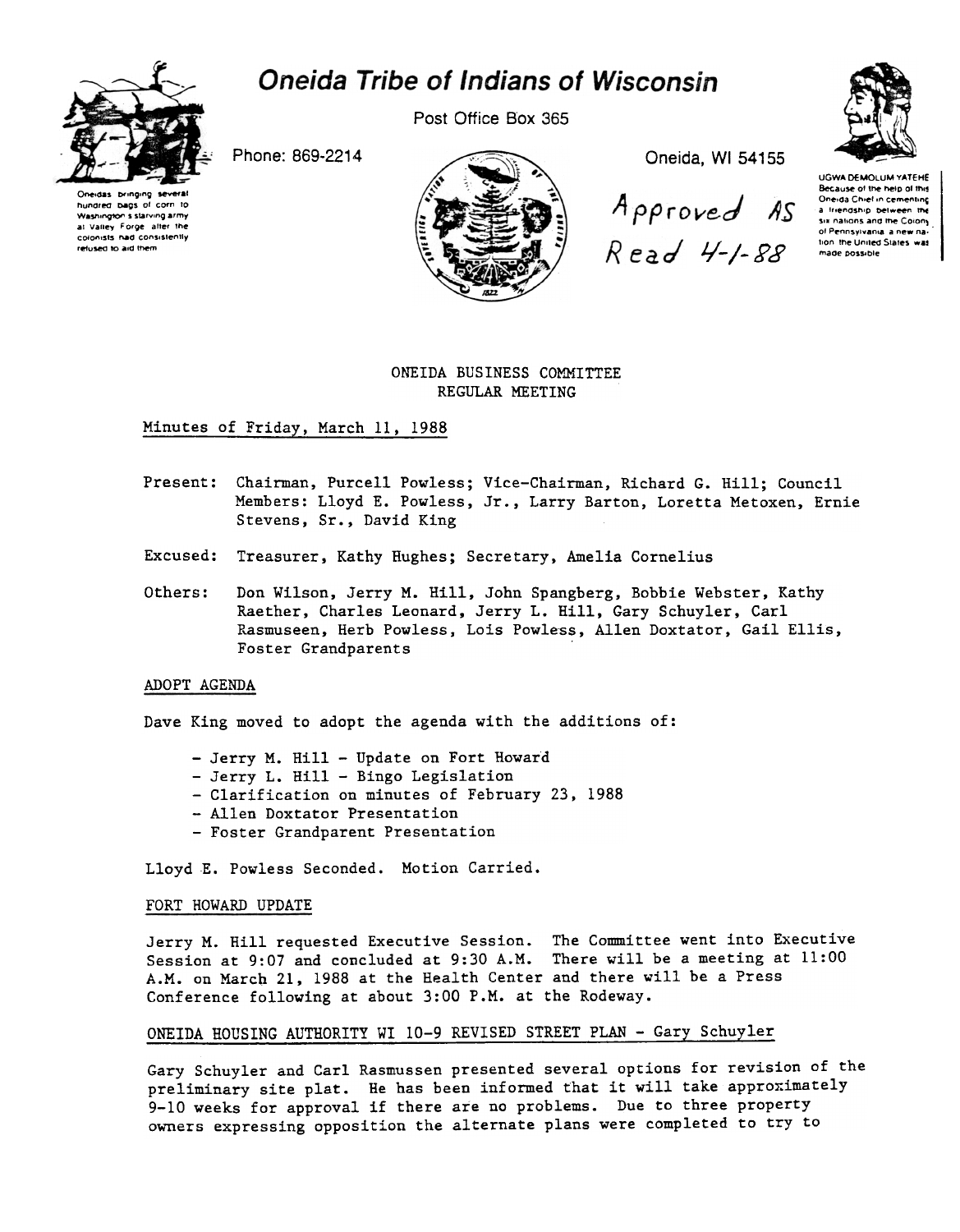# Oneida Tribe of Indians of Wisconsin



hundred bags of corn to

Washington's starving army

at Valley Forge after the

colonists had consistently

refused to aid them

Post Office Box 365

Phone: 869-2214



Oneida, WI 54155

Approved AS Read 4-1-88

**UGWA DEMOLUM YATEHE** Because of the help of this Oneida Chief in cementing a friendship between the six nations and the Colony of Pennsylvania a new nation, the United States, was made possible

ONEIDA BUSINESS COMMITTEE REGULAR MEETING

# Minutes of Friday, March 11, 1988

- Present: Chairman, Purcell Powless; Vice-Chairman, Richard G. Hill; Council Members: Lloyd E. Powless, Jr., Larry Barton, Loretta Metoxen, Ernie Stevens, Sr., David King
- Excused: Treasurer, Kathy Hughes; Secretary, Amelia Cornelius
- Others: Don Wilson, Jerry M. Hill, John Spangberg, Bobbie Webster, Kathy Raether, Charles Leonard, Jerry L. Hill, Gary Schuyler, Carl Rasmuseen, Herb Powless, Lois Powless, Allen Doxtator, Gail Ellis, Foster Grandparents

### ADOPT AGENDA

Dave King moved to adopt the agenda with the additions of:

- Jerry M. Hill Update on Fort Howard
- Jerry L. Hill Bingo Legislation
- Clarification on minutes of February 23, 1988
- Allen Doxtator Presentation
- Foster Grandparent Presentation

Lloyd E. Powless Seconded. Motion Carried.

## FORT HOWARD UPDATE

Jerry M. Hill requested Executive Session. The Committee went into Executive Session at 9:07 and concluded at 9:30 A.M. There will be a meeting at 11:00 A.M. on March 21, 1988 at the Health Center and there will be a Press Conference following at about 3:00 P.M. at the Rodeway.

# ONEIDA HOUSING AUTHORITY WI 10-9 REVISED STREET PLAN - Gary Schuyler

Gary Schuyler and Carl Rasmussen presented several options for revision of the preliminary site plat. He has been informed that it will take approximately 9-10 weeks for approval if there are no problems. Due to three property owners expressing opposition the alternate plans were completed to try to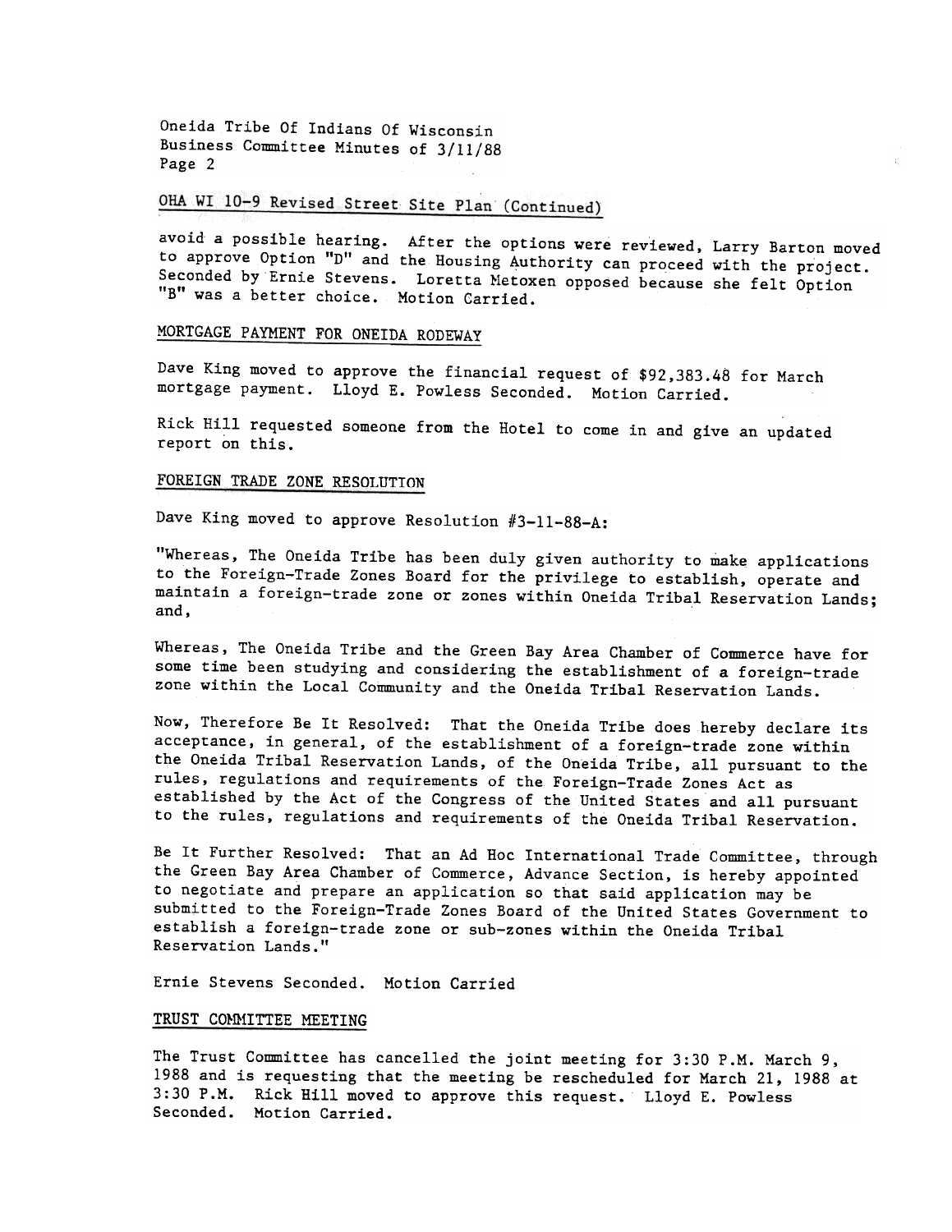Oneida Tribe Of Indians Of Wisconsin Business Committee Minutes of 3/11/88 Page 2

# OHA WI 10-9 Revised Street Site Plan (Continued)

avoid a possible hearing. After the options were reviewed, Larry Barton moved to approve Option "D" and the Housing Authority can proceed with the project. Seconded by Ernie Stevens. Loretta Metoxen opposed because she felt Option "B" was a better choice. Motion Carried.

# MORTGAGE PAYMENT FOR ONEIDA RODEWAY

Dave King moved to approve the financial request of \$92,383.48 for March mortgage payment. Lloyd E. Powless Seconded. Motion Carried.

Rick Hill requested someone from the Hotel to come in and give an updated report on this.

### FOREIGN TRADE ZONE RESOLUTION

Dave King moved to approve Resolution  $#3-11-88-A$ :

"Whereas, The Oneida Tribe has been duly given authority to make applications to the Foreign-Trade Zones Board for the privilege to establish, operate and maintain a foreign-trade zone or zones within Oneida Tribal Reservation Lands; and,

Whereas, The Oneida Tribe and the Green Bay Area Chamber of Commerce have for some time been studying and considering the establishment of a foreign-trade zone within the Local Community and the Oneida Tribal Reservation Lands.

Now, Therefore Be It Resolved: That the Oneida Tribe does hereby declare its acceptance, in general, of the establishment of a foreign-trade zone within the Oneida Tribal Reservation Lands, of the Oneida Tribe, all pursuant to the rules, regulations and requirements of the Foreign-Trade Zones Act as established by the Act of the Congress of the United States and all pursuant to the rules, regulations and requirements of the Oneida Tribal Reservation.

Be It Further Resolved: That an Ad Hoc International Trade Committee, through the Green Bay Area Chamber of Commerce, Advance Section, is hereby appointed to negotiate and prepare an application so that said application may be submitted to the Foreign-Trade Zones Board of the United States Government to establish a foreign-trade zone or sub-zones within the Oneida Tribal Reservation Lands."

Ernie Stevens Seconded. Motion Carried

# TRUST COMMITTEE MEETING

The Trust Committee has cancelled the joint meeting for 3:30 P.M. March 9, 1988 and is requesting that the meeting be rescheduled for March 21, 1988 at 3:30 P.M. Rick Hill moved to approve this request. Lloyd E. Powless Seconded. Motion Carried.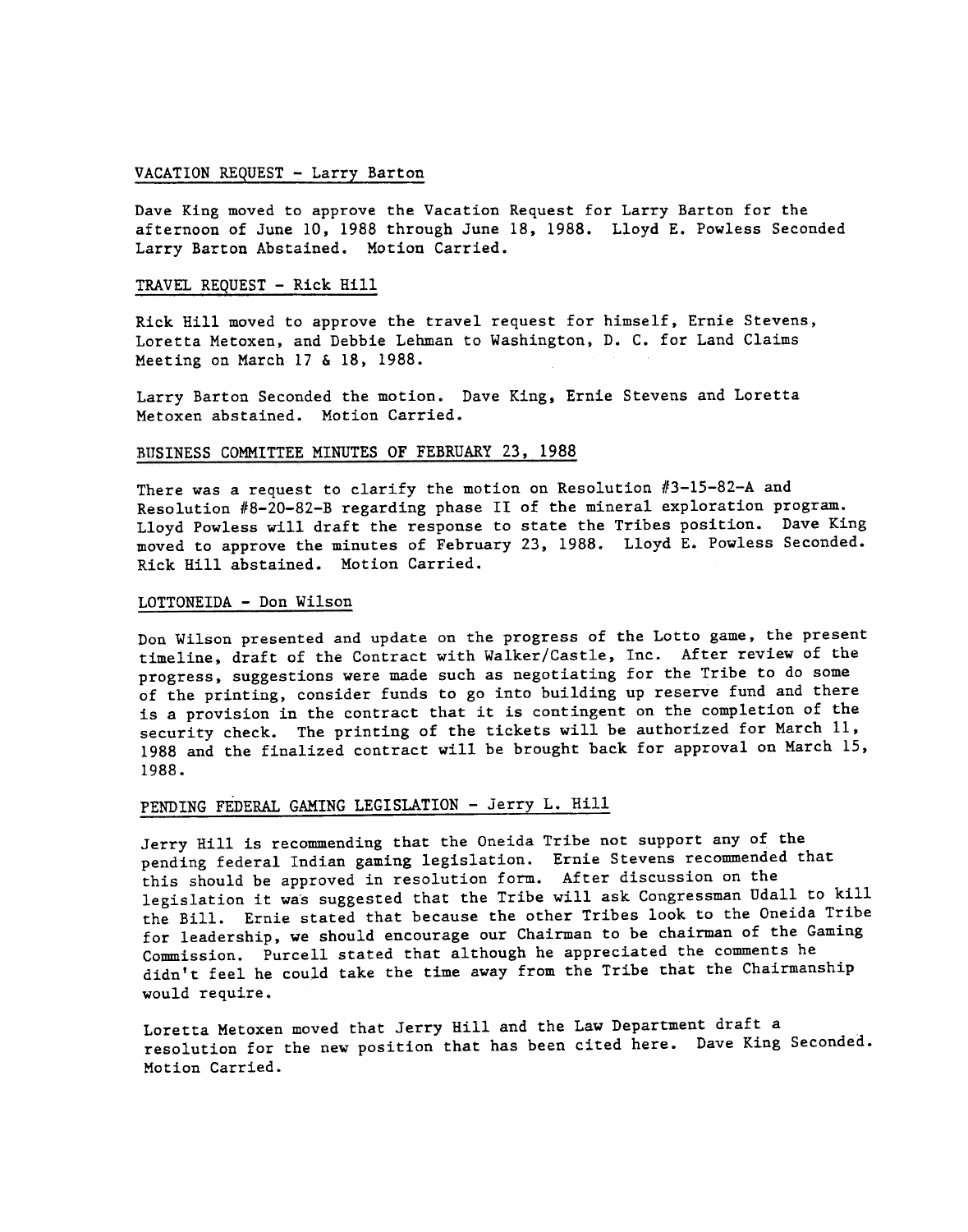## VACATION REQUEST - Larry Barton

Dave King moved to approve the Vacation Request for Larry Barton for the afternoon of June 10, 1988 through June 18, 1988. Lloyd E. Powless Seconded Larry Barton Abstained. Motion Carried.

### TRAVEL REQUEST - Rick Hill

Rick Hill moved to approve the travel request for himself, Ernie Stevens, Loretta Metoxen, and Debbie Lehman to Washington, D. C. for Land Claims Meeting on March 17 & 18. 1988.

Larry Barton Seconded the motion. Dave King, Ernie Stevens and Loret Metoxen abstained. Motion Carried.

#### BUSINESS COMMITTEE MINUTES OF FEBRUARY 23, 1988

There was a request to clarify the motion on Resolution  $#3-15-82-A$  and Resolution #8-20-82-B regarding phase II of the mineral exploration program. Lloyd Powless will draft the response to state the Tribes position. Dave King moved to approve the minutes of February 23, 1988. Lloyd E. Powless Seconded. Rick Hill abstained. Motion Carried.

### LOTTONEIDA - Don Wilson

Don Wilson presented and update on the progress of the Lotto game, the present timeline, draft of the Contract with Walker/Castle, Inc. After review of the progress, suggestions were made such as negotiating for the Tribe to do some of the printing, consider funds to go into building up reserve fund and there is a provision in the contract that it is contingent on the completion of the security check. The printing of the tickets will be authorized for March 11, 1988 and the finalized contract will be brought back for approval on March 15, 1988.

## PENDING FEDERAL GAMING LEGISLATION - Jerry L. Hi

Jerry Hill is recommending that the Oneida Tribe not support any of the pending federal Indian gaming legislation. Ernie Stevens recommended that this should be approved in resolution form. After discussion on the legislation it wa's suggested that the Tribe will ask Congressman Udall to kill the Bill. Ernie stated that because the other Tribes look to the Oneida Tribe for leadership, we should encourage our Chairman to be chairman of the Gaming Commission. Purcell stated that although he appreciated the comments he didn't feel he could take the time away from the Tribe that the Chairmanship would require.

Loretta Metoxen moved that Jerry Hill and the Law Department draft a resolution for the new position that has been cited here. Dave King Seconded. Motion Carried.